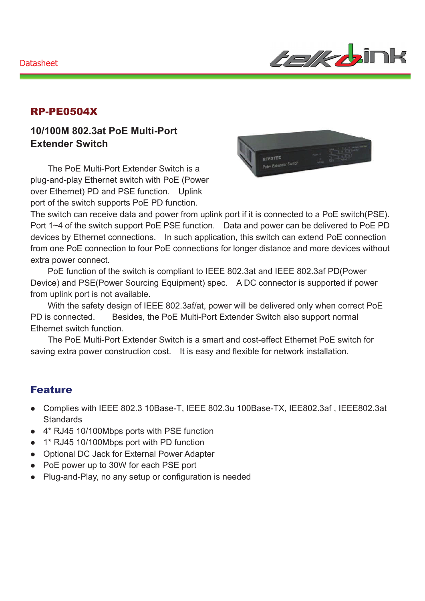

### RP-PE0504X

### **10/100M 802.3at PoE Multi-Port Extender Switch**

The PoE Multi-Port Extender Switch is a plug-and-play Ethernet switch with PoE (Power over Ethernet) PD and PSE function. Uplink port of the switch supports PoE PD function.



The switch can receive data and power from uplink port if it is connected to a PoE switch(PSE). Port 1~4 of the switch support PoE PSE function. Data and power can be delivered to PoE PD devices by Ethernet connections. In such application, this switch can extend PoE connection from one PoE connection to four PoE connections for longer distance and more devices without extra power connect.

PoE function of the switch is compliant to IEEE 802.3at and IEEE 802.3af PD(Power Device) and PSE(Power Sourcing Equipment) spec. A DC connector is supported if power from uplink port is not available.

With the safety design of IEEE 802.3af/at, power will be delivered only when correct PoE PD is connected. Besides, the PoE Multi-Port Extender Switch also support normal Ethernet switch function.

The PoE Multi-Port Extender Switch is a smart and cost-effect Ethernet PoE switch for saving extra power construction cost. It is easy and flexible for network installation.

#### Feature

- Complies with IEEE 802.3 10Base-T, IEEE 802.3u 100Base-TX, IEE802.3af, IEEE802.3at **Standards**
- 4\* RJ45 10/100Mbps ports with PSE function
- 1\* RJ45 10/100Mbps port with PD function
- Optional DC Jack for External Power Adapter
- PoE power up to 30W for each PSE port
- Plug-and-Play, no any setup or configuration is needed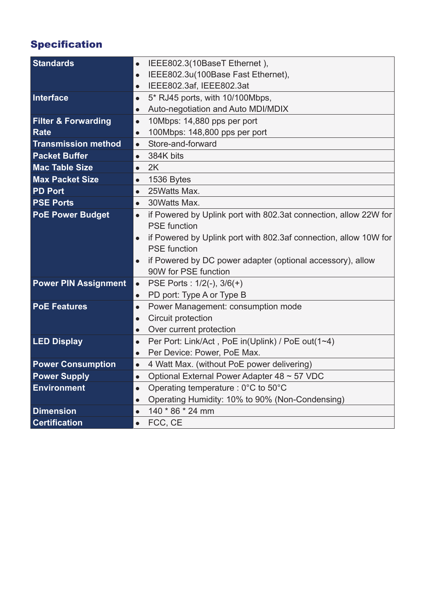# Specification

| <b>Standards</b>               | IEEE802.3(10BaseT Ethernet),<br>$\bullet$                                     |
|--------------------------------|-------------------------------------------------------------------------------|
|                                | IEEE802.3u(100Base Fast Ethernet),<br>$\bullet$                               |
|                                | IEEE802.3af, IEEE802.3at<br>$\bullet$                                         |
| Interface                      | 5* RJ45 ports, with 10/100Mbps,<br>$\bullet$                                  |
|                                | Auto-negotiation and Auto MDI/MDIX<br>$\bullet$                               |
| <b>Filter &amp; Forwarding</b> | 10Mbps: 14,880 pps per port<br>$\bullet$                                      |
| <b>Rate</b>                    | 100Mbps: 148,800 pps per port<br>$\bullet$                                    |
| <b>Transmission method</b>     | Store-and-forward<br>$\bullet$                                                |
| <b>Packet Buffer</b>           | 384K bits<br>$\bullet$                                                        |
| <b>Mac Table Size</b>          | 2K<br>$\bullet$                                                               |
| <b>Max Packet Size</b>         | 1536 Bytes<br>$\bullet$                                                       |
| <b>PD Port</b>                 | 25Watts Max.<br>$\bullet$                                                     |
| <b>PSE Ports</b>               | 30 Watts Max.<br>$\bullet$                                                    |
| <b>PoE Power Budget</b>        | if Powered by Uplink port with 802.3at connection, allow 22W for<br>$\bullet$ |
|                                | <b>PSE</b> function                                                           |
|                                | if Powered by Uplink port with 802.3af connection, allow 10W for<br>$\bullet$ |
|                                | <b>PSE</b> function                                                           |
|                                | if Powered by DC power adapter (optional accessory), allow                    |
|                                | 90W for PSE function                                                          |
| <b>Power PIN Assignment</b>    | PSE Ports: 1/2(-), 3/6(+)<br>$\bullet$                                        |
|                                | PD port: Type A or Type B<br>$\bullet$                                        |
| <b>PoE Features</b>            | Power Management: consumption mode<br>$\bullet$                               |
|                                | Circuit protection<br>$\bullet$                                               |
|                                | Over current protection<br>$\bullet$                                          |
| <b>LED Display</b>             | Per Port: Link/Act, PoE in(Uplink) / PoE out(1~4)<br>$\bullet$                |
|                                | Per Device: Power, PoE Max.<br>$\bullet$                                      |
| <b>Power Consumption</b>       | 4 Watt Max. (without PoE power delivering)<br>$\bullet$                       |
| <b>Power Supply</b>            | Optional External Power Adapter 48 ~ 57 VDC<br>$\bullet$                      |
| <b>Environment</b>             | Operating temperature : 0°C to 50°C<br>$\bullet$                              |
|                                | Operating Humidity: 10% to 90% (Non-Condensing)<br>$\bullet$                  |
| <b>Dimension</b>               | 140 * 86 * 24 mm<br>$\bullet$                                                 |
| <b>Certification</b>           | FCC, CE<br>$\bullet$                                                          |